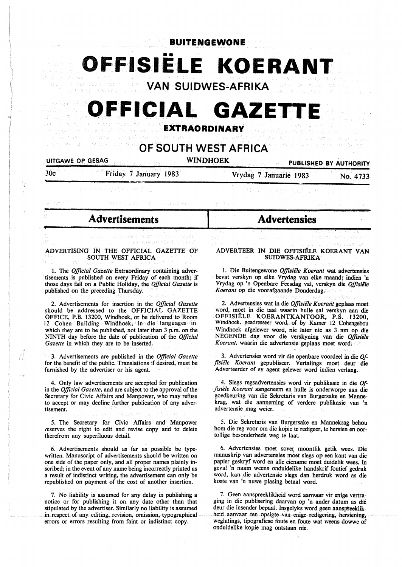•• **OFFISIELE KOERANT** 

 $\mathcal{E}_t \hat{\otimes} \mathcal{V}^{\prime} = \mathcal{O}(\log^2 \mathcal{W}) \cap \mathcal{E}_t^{\text{reg}} \hat{\otimes} \mathcal{V}^{\text{reg}}$ **VAN SUIDWES-AFRIKA** 

# **OFFICIAL GAZETT**

**EXTRAORDINARY** 

## **OF SOUTH WEST AFRICA**

### UITGAWE OP GESAG

,;-

Ñ đ

A

I

### WINDHOEK PUBLISHED BY AUTHORITY

30c Friday 7 January 1983

Vrydag 7 Januarie 1983 No. 4733

**Advertensies** 

### - **Advertisements**

### ADVERTISING IN THE OFFICIAL GAZETTE OF SOUTH WEST AFRICA

I. The *Official Gazette* Extraordinary containing advertisements is published on every Friday of each month; if those days fall on a Public Holiday, the *Official Gazette* is published on the preceding Thursday.

2. Advertisements for insertion in the *Official Gazette*  should be addressed to. the OFFICIAL GAZETTE OFFICE, P.B. 13200, Windhoek, or be delivered to Room 12 Cohen Building Windhoek, in die languages in which they are to be published, not later than 3 p.m. on the **NINTH** day before the date of publication of the *Official Gazette* in which they are to be inserted.

3. Advertisements are published in the *Official Gazette*  for the benefit of the public. Translations if desired, must be furnished by the advertiser or his agent.

4. Only law advertisements are accepted for publication in the *Official Gazette,* and are subject to the approval of the Secretary for Civic Affairs and Manpower, who may refuse to accept or may decline further publication of any advertisement.

5. The Secretary for Civic Affairs and Manpower reserves the right to edit and revise copy and to delete therefrom any superfluous detail.

6. Advertisements should as far as possible be typewritten. Manuscript of advertisements should be written on one side of the paper only, and.all proper names plainly inscribed; in the event of any name being incorrectly printed as a result of indistinct writing, the advertisement can only be republished on payment of the cost of another insertion.

7. No liability is assumed for any delay in publishing a notice or for publishing it on any date other than that stipulated by the advertiser. Similarly no liability is assumed in respect of any editing, revision, omission, typographical errors or errors resulting from faint or indistinct copy.

### ADVERTEER IN DIE OFFISIËLE KOERANT VAN **SUIDWES-AFRIKA**

1. Die Buitengewone *Offisiële Koerant* wat advertensies bevat verskyn op elke Vrydag van elke maand; indien 'n Vrydag op 'n Openbare Feesdag val, verskyn die Offisiële *Koerant* op die voorafgaande Donderdag.

2. Advertensies wat in die *Offisiele Koerant* geplaas moet word, moet in die taal waarin hulle sal verskyn aan die OFFISIËLE KOERANTKANTOOR, P.S. 13200, Windhoek, geadresseer word. of by Kamer 12 Cohengebou Windhoek afgelewer word, nie later nie as 3 nm op die NEGENDE dag voor die verskyning van die *Offisiële Koerant,* waarin die advertensie geplaas moet word.

3. Advertensies word vir die openbare voordeel in die *Offisiele Koerant* gepubliseer. Vertalings moet deur die Adverteerder of sy agent gelewer word indien verlang.

4. Slegs regsadvertensies word vir publikasie in die *Offisiële Koerant* aangeneem en hulle is onderworpe aan die goedkeuring van die Sekretaris van Burgersake en Mannekrag, wat die aanneming of verdere publikasie van 'n advertensie mag weier.

5. Die Sekretaris van Burgersake en Mannekrag behou horn die reg voor om die kopie te redigeer, te hersien en oor- tollige besonderhede weg te laat.

6. Advertensies moet sover moontlik getik wees. Die manuskrip van advertensies moet slegs op een kant van **die**  papier geskryf word en alle eiename moet duidelik wees. In geval 'n naam weens onduidelike handskrif foutief gedruk word, kan die advertensie slegs dan herdruk word as die koste van 'n nuwe plasing betaal word.

7. Geen aanspreeklikheid word aanvaar vir enige vertraging in die publisering daarvan op 'n. ander datum as die deur die insender bepaal. Insgelyks word geen aanspteeklikheid aanvaar ten opsigte van enige redigering, hersiening, weglatings, tipografiese foute en foute wat weens dowwe of onduidelike kopie mag ontstaan nie.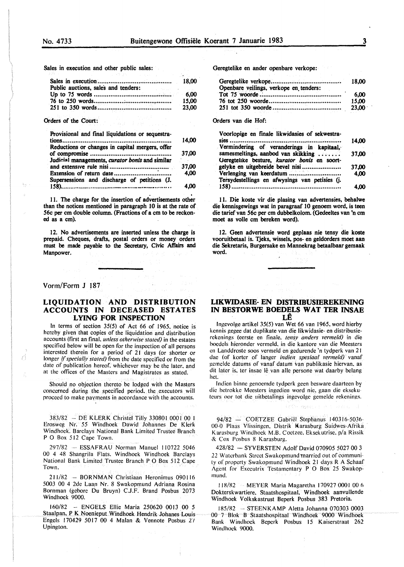Sales in execution and other public sales:

| Public auctions, sales and tenders: |                |
|-------------------------------------|----------------|
|                                     | 15.00<br>23,00 |
| Orders of the Court:                |                |

| Provisional and final liquidations or sequestra-                                                   |                       |
|----------------------------------------------------------------------------------------------------|-----------------------|
|                                                                                                    | 14,00                 |
| Reductions or changes in capital mergers, offer<br>Judicial managements, curator bonis and similar |                       |
|                                                                                                    | ing a series<br>37,00 |
| Extension of return date $\ldots$ $\ldots$ $\ldots$ $\ldots$ $\ldots$                              | 4,00                  |
| Supersessions and discharge of petitions (J.                                                       | 4.00                  |

11. The charge for the insertion of advertisements other than the notices mentioned in paragraph 10 is at the rate of 56c per cm double column. (Fractions of a cm to be reckoned as a cm).

12. No advertisements are inserted unless the charge is prepaid. Cheques, drafts, postal orders or money orders must be made payable to the Secretary, Civic Affairs and Manpower.

### Vorm/Form J 187

Ŷ

### **LIQUIDATION AND DISTRIBUTION ACCOUNTS IN DECEASED ESTATES LYING FOR INSPECTION**

In terms of section 35(5) of Act 66 of 1965. notice is hereby given that copies of the liquidation and distribution accounts (first an final. *unless otherwise stated)* in the estates specified below will be open for the inspection of all persons interested therein for a period of 21 days (or shorter or longer if specially stated) from the date specified or from the date of publication hereof. whichever may be the later. and at the offices of the Masters and Magistrates as stated.

Should no objection thereto be lodged with the Masters concerned during the specified period. the executors will proceed to make payments in accordance with the accounts.

383/82 - DEKLERK Christel Tilly 330801 0001 00 I Erosweg Nr. 55 Windhoek Dawid Johannes De Klerk Windhoek. Barclays National Bank Limited Trustee Branch P O Box 512 Cape Town.

297/82 -- ESSAFRAU Norman Manuel 110722 5046 00 4 48 Shangrila Flats. Windhoek Windhoek Barclays National Bank Limited Trustee Branch P O Box 512 Cape Town.

211/82 - BORNMAN Christiaan Heronimus 090116 5003 00 4 2de Laan Nr. 8 Swakopmund Adriana Rosina Bornman (gcbore Du Bruyn) C.J.F. Brand Posbus 2073 Windhoek 9000.

160/82 -· ENGELS Ellie Maria 250620 0013 00 *5*  Staalpan. P K Noenieput Windhoek Hendrik Johanes Louis Engels 170429 5017 00 4 Malan & Vennote Posbus 27 Upington.

Geregtelike en ander openbare verkope:

| Openbare veilings, verkope en tenders: |               |
|----------------------------------------|---------------|
|                                        | 6.00<br>15.00 |
|                                        |               |

Orders van die Hof:

| Voorlopige en finale likwidasies of sekwestra-                                     |       |
|------------------------------------------------------------------------------------|-------|
| Vermindering of veranderings in kapitaal,                                          | 14.00 |
| samesmeltings, aanbod van skikking<br>Geregtelike besture, kurator bonis en soort- | 37.00 |
| gelyke en uitgebreide bevel nisi                                                   | 37.00 |
| Verlenging van keerdatum                                                           | 4.00  |
| Tersydestellings en afwysings van petisies (j.                                     |       |
|                                                                                    | 4.00  |

11. Die koste vir die plasing van advertensies, behalwe die kennisgewings wat in paragraaf IO genoem word, is teen die tarief van 56c per cm dubbelkolom. (Gedeeltes van 'n cm moet as voile cm bereken word).

12. Geen advertensie word geplaas nie tensy die koste vooruitbetaal is. Tjeks, wissels, pos- en geldorders moet aan die Sekretaris, Burgersake en Mannekrag betaalbaar gemaak word.

### **LIKWIDASIE- EN DISTRIBUSIEREKENING IN BESTORWE BOEDELS WAT TER INSAE**

lngevolge artikel 35(5) van Wet 66 van 1965. word hierby kcnnis gegee dat duplikate van die likwidasie- en distribusierekenings (eerste en finale. *tens\_!' anders vermeld)* in die boedels hieronder vermeld. in die kantore van die Meesters en Landdroste soos vermeld en gedurende "n tydperk van 21 dae (of korter of langer *indien spesiaal vermeld)* vanaf gemelde datums of vanaf datum van publikasie hiervan, as dit later is, ter insae lê van alle persone wat daarby belang het.

Indien binne genoemde tydperk geen besware daarteen by die hetrokkc Meesters ingedien word nie. gaan die eksekuleurs oor tot die uitbetalings ingevolgc gemclde rekenings.

94/82 - COETZEE Gabriel Stephanus 140316-5036-00-0 Plaas Vlissingen. Distrik Karasburg Suidwes-Afrika Karasburg Windhoek M.B. Coetzee, Eksekutrise, p/a Rissik & Cox Posbus 8 Karasburg.

428/82 - SYVERSTEN Adolf David 070905 5027 00 3 *22* Watcrbank Street Swakopmund married out of community of properly Swakopmund Windhoek 21 days R A Schaaf Agent for Executrix Testamentary P O Box 25 Swakopmund.

118/82 MEYER Maria Magaretha 170927 0001 00 6 Dokterskwartiere. Staatshospitaal. Windhoek aanvullende Windhoek Volkskastrust Beperk Posbus 383 Pretoria.

185/82 ··· STEENKAMP Aletta Johanna 070303 0003 00 7 Blok B Staatshospitaal Windhoek 9000 Windhoek Bank Windhoek Beperk Posbus 15 Kaiserstraat 262 Windhoek 9000.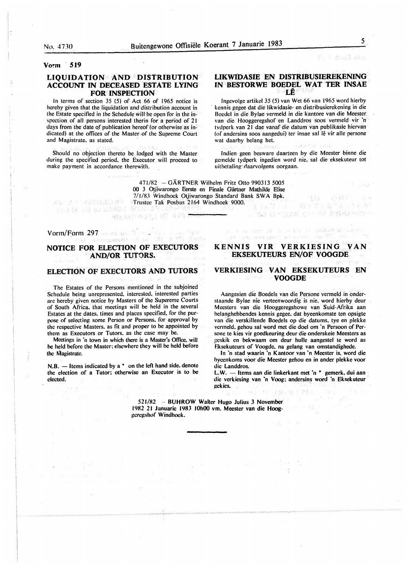#### Visit Park Rivers

#### **Vo'."m** · **519**

### LIQUIDATION AND DISTRIBUTION **ACCOUNT IN DECEASED ESTATE LYING FOR INSPECTION**

In terms of section 35 (5) of Act 66 of 1965 notice is hereby given that the liquidation and distribution account in the Estate specified in the Schedule will be open for in the inspection of all persons interested therin for a period of 21 days from the date of publication hereof (or otherwise as indicated) at the offices of the Master of the Supreme Court and Magistrate, as stated.

Should no objection thereto be lodged with the Master during the specified period. the Executor will proceed to make payment in accordance therewith.

### **LIKWIDASIE EN DISTRIBUSIEREKENING IN BESTORWE BOEDEL WAT TER INSAE LE**

lngevolge artikel 35 (5) van Wet 66 van 1965 word hierby · kennis gegee dat die likwidasie- en distribusierekening in die Bocdel in die Bylae vermeld in die kantore van die Meester. van die Hooggeregshof en Landdros soos vermeld vir 'n tvdperk. van 21 dae vanaf die datum van publikasie hiervan (of andersins soos aangedui) ter insae sal lê vir alle persone wat daarby belang het.

Indien geen besware daarteen by die Meester binne die gemelde tydperk ingedien word nie. sal die eksekuteur tot uithetaling daarvolgens oorgaan.

2435

**TAD ANDURA ON HE SERRENA** 

eri at a vedar li radiov di Linke

第5章

(CP TA W T&N O {

471/82 -- GARTNER Wilhelm Fritz Otto 990313 *5005*  00 3 Otjiwarongo Eerste en Finale Gärtner Mathilde Elise 7/1/83 Windhoek Otjiwarongo Standard Bank SWA Bpk. Trustee Tak Posbus 2164 Windhoek 9000.<br>Trustee Take State Constitution of the State Constitution of the State of Take State Constitution of the State

Vorm/Form 297 research William

[AND DATA TRESPECTED ARE

### **NOTICE FOR ELECTION OF EXECUTORS AND/OR TUTORS.**

通知人口不得之生之 諸王 可引性

### **ELECTION OF EXECUTORS AND TUTORS**

The Estates of the Persons mentioned in the subjoined Schedule being unrepresented. interested. interested parties arc hereby given notice by Masters of the Supereme Courts of South Africa. that meetings will be held in the several Estates at the dates, times and places specified, for the purpose of selecting some Person or Persons. for approval by the respective Masters. as fit and proper to be appointed by them as Executors .or Tutors. as the case mav be.

Meetings in 'n town in which there is a Master's Office, will he held before the Master; elsewhere they will be held before the Magistrate.

N.B. — Items indicated by a <sup>\*</sup> on the left hand side, denote the election of a Tutor: otherwise an Executor is to be elected.

### **KENNIS VIR VERKIESING VAN EKSEKUTEURS EN/OF VOOGDE**

in you've been seen and

#### **VERKIESING VAN EKSEKUTEURS EN**  gur man **VOOGDE**

Aangesien die Bocdels van die Persone vermeld in onderstaande Bylae nie verteenwoordig is nie. word hierby deur Meesters van die Hooggeregshowe van Suid-Afrika aan helan\_ghebbendes kennis gegee. dat byeenkomste ten opsigte van die verskillende Boedels op die datums, tye en plekke vermeld. gehou sal word met die doe! om 'n Persoon of Persone te kies vir goedkeuring deur die onderskeie Meesters as geskik en bekwaam om deur hulle aangestel te word as Eksekuteurs of Voogde. na gelang van omstandighede.

In 'n stad waarin 'n Kantoor van 'n Meester is. word die hycenkoms voor die Meester gehou en in ander plekke voor die Landdros.

L.W. - Items aan die linkerkant met 'n \* gemerk, dui aan die verkiesing van 'n Voog; andersins word 'n Eksekuteur gekies.

ほおく好き

521/82 ·· BUHROW Walter Hugo Julius 3 November 1982 21 Januarie 1983 10h00 vm. Meester van die Hooggeregshof Windhoek.